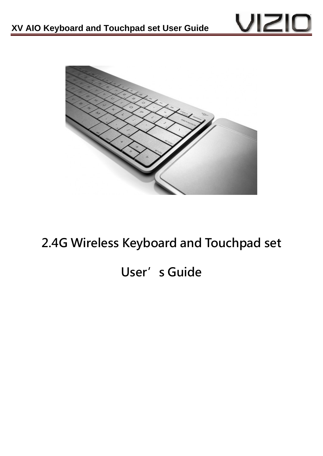



## **2.4G Wireless Keyboard and Touchpad set**

## User's Guide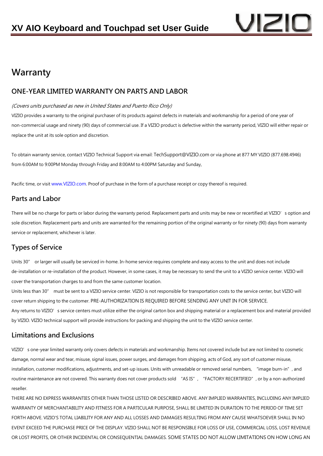# VIZI

#### **Warranty**

#### **ONE-YEAR LIMITED WARRANTY ON PARTS AND LABOR**

#### (Covers units purchased as new in United States and Puerto Rico Only)

VIZIO provides a warranty to the original purchaser of its products against defects in materials and workmanship for a period of one year of non-commercial usage and ninety (90) days of commercial use. If a VIZIO product is defective within the warranty period, VIZIO will either repair or replace the unit at its sole option and discretion.

To obtain warranty service, contact VIZIO Technical Support via email: TechSupport@VIZIO.com or via phone at 877 MY VIZIO (877.698.4946) from 6:00AM to 9:00PM Monday through Friday and 8:00AM to 4:00PM Saturday and Sunday,

Pacific time, or visit www.VIZIO.com. Proof of purchase in the form of a purchase receipt or copy thereof is required.

#### **Parts and Labor**

There will be no charge for parts or labor during the warranty period. Replacement parts and units may be new or recertified at VIZIO's option and sole discretion. Replacement parts and units are warranted for the remaining portion of the original warranty or for ninety (90) days from warranty service or replacement, whichever is later.

#### **Types of Service**

Units 30" or larger will usually be serviced in-home. In-home service requires complete and easy access to the unit and does not include de-installation or re-installation of the product. However, in some cases, it may be necessary to send the unit to a VIZIO service center. VIZIO will cover the transportation charges to and from the same customer location.

Units less than 30" must be sent to a VIZIO service center. VIZIO is not responsible for transportation costs to the service center, but VIZIO will cover return shipping to the customer. PRE-AUTHORIZATION IS REQUIRED BEFORE SENDING ANY UNIT IN FOR SERVICE. Any returns to VIZIO's service centers must utilize either the original carton box and shipping material or a replacement box and material provided by VIZIO. VIZIO technical support will provide instructions for packing and shipping the unit to the VIZIO service center.

#### **Limitations and Exclusions**

VIZIO's one-year limited warranty only covers defects in materials and workmanship. Items not covered include but are not limited to cosmetic damage, normal wear and tear, misuse, signal issues, power surges, and damages from shipping, acts of God, any sort of customer misuse, installation, customer modifications, adjustments, and set-up issues. Units with unreadable or removed serial numbers, "image burn-in", and routine maintenance are not covered. This warranty does not cover products sold "AS IS", "FACTORY RECERTIFIED", or by a non-authorized reseller.

THERE ARE NO EXPRESS WARRANTIES OTHER THAN THOSE LISTED OR DESCRIBED ABOVE. ANY IMPLIED WARRANTIES, INCLUDING ANY IMPLIED WARRANTY OF MERCHANTABILITY AND FITNESS FOR A PARTICULAR PURPOSE, SHALL BE LIMITED IN DURATION TO THE PERIOD OF TIME SET FORTH ABOVE. VIZIO'S TOTAL LIABILITY FOR ANY AND ALL LOSSES AND DAMAGES RESULTING FROM ANY CAUSE WHATSOEVER SHALL IN NO EVENT EXCEED THE PURCHASE PRICE OF THE DISPLAY. VIZIO SHALL NOT BE RESPONSIBLE FOR LOSS OF USE, COMMERCIAL LOSS, LOST REVENUE OR LOST PROFITS, OR OTHER INCIDENTAL OR CONSEQUENTIAL DAMAGES. SOME STATES DO NOT ALLOW LIMITATIONS ON HOW LONG AN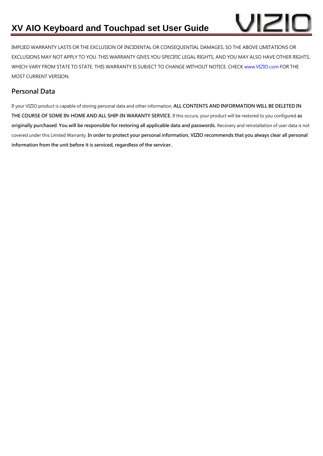### **XV AIO Keyboard and Touchpad set User Guide**



IMPLIED WARRANTY LASTS OR THE EXCLUSION OF INCIDENTAL OR CONSEQUENTIAL DAMAGES, SO THE ABOVE LIMITATIONS OR EXCLUSIONS MAY NOT APPLY TO YOU. THIS WARRANTY GIVES YOU SPECIFIC LEGAL RIGHTS, AND YOU MAY ALSO HAVE OTHER RIGHTS, WHICH VARY FROM STATE TO STATE. THIS WARRANTY IS SUBJECT TO CHANGE WITHOUT NOTICE. CHECK www.VIZIO.com FOR THE MOST CURRENT VERSION.

#### **Personal Data**

If your VIZIO product is capable of storing personal data and other information, **ALL CONTENTS AND INFORMATION WILL BE DELETED IN THE COURSE OF SOME IN-HOME AND ALL SHIP-IN WARANTY SERVICE.** If this occurs, your product will be restored to you configured **as originally purchased**. **You will be responsible for restoring all applicable data and passwords.** Recovery and reinstallation of user data is not covered under this Limited Warranty. **In order to protect your personal information, VIZIO recommends that you always clear all personal information from the unit before it is serviced, regardless of the servicer.**.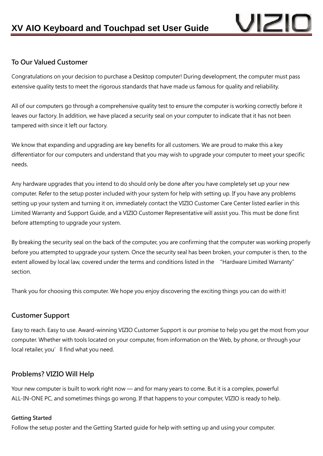

#### **To Our Valued Customer**

Congratulations on your decision to purchase a Desktop computer! During development, the computer must pass extensive quality tests to meet the rigorous standards that have made us famous for quality and reliability.

All of our computers go through a comprehensive quality test to ensure the computer is working correctly before it leaves our factory. In addition, we have placed a security seal on your computer to indicate that it has not been tampered with since it left our factory.

We know that expanding and upgrading are key benefits for all customers. We are proud to make this a key differentiator for our computers and understand that you may wish to upgrade your computer to meet your specific needs.

Any hardware upgrades that you intend to do should only be done after you have completely set up your new computer. Refer to the setup poster included with your system for help with setting up. If you have any problems setting up your system and turning it on, immediately contact the VIZIO Customer Care Center listed earlier in this Limited Warranty and Support Guide, and a VIZIO Customer Representative will assist you. This must be done first before attempting to upgrade your system.

By breaking the security seal on the back of the computer, you are confirming that the computer was working properly before you attempted to upgrade your system. Once the security seal has been broken, your computer is then, to the extent allowed by local law, covered under the terms and conditions listed in the "Hardware Limited Warranty" section.

Thank you for choosing this computer. We hope you enjoy discovering the exciting things you can do with it!

#### **Customer Support**

Easy to reach. Easy to use. Award-winning VIZIO Customer Support is our promise to help you get the most from your computer. Whether with tools located on your computer, from information on the Web, by phone, or through your local retailer, you'll find what you need.

#### **Problems? VIZIO Will Help**

Your new computer is built to work right now — and for many years to come. But it is a complex, powerful ALL-IN-ONE PC, and sometimes things go wrong. If that happens to your computer, VIZIO is ready to help.

#### **Getting Started**

Follow the setup poster and the Getting Started guide for help with setting up and using your computer.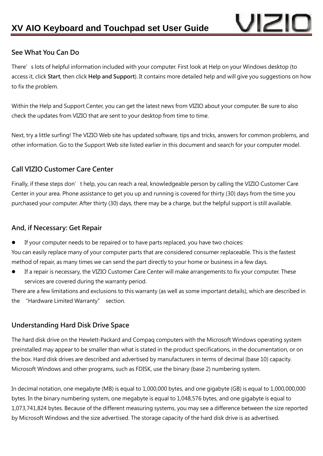#### **See What You Can Do**

There's lots of helpful information included with your computer. First look at Help on your Windows desktop (to access it, click **Start**, then click **Help and Support**). It contains more detailed help and will give you suggestions on how to fix the problem.

Within the Help and Support Center, you can get the latest news from VIZIO about your computer. Be sure to also check the updates from VIZIO that are sent to your desktop from time to time.

Next, try a little surfing! The VIZIO Web site has updated software, tips and tricks, answers for common problems, and other information. Go to the Support Web site listed earlier in this document and search for your computer model.

#### **Call VIZIO Customer Care Center**

Finally, if these steps don't help, you can reach a real, knowledgeable person by calling the VIZIO Customer Care Center in your area. Phone assistance to get you up and running is covered for thirty (30) days from the time you purchased your computer. After thirty (30) days, there may be a charge, but the helpful support is still available.

#### **And, if Necessary: Get Repair**

If your computer needs to be repaired or to have parts replaced, you have two choices:

You can easily replace many of your computer parts that are considered consumer replaceable. This is the fastest method of repair, as many times we can send the part directly to your home or business in a few days.

**•** If a repair is necessary, the VIZIO Customer Care Center will make arrangements to fix your computer. These services are covered during the warranty period.

There are a few limitations and exclusions to this warranty (as well as some important details), which are described in the "Hardware Limited Warranty" section.

#### **Understanding Hard Disk Drive Space**

The hard disk drive on the Hewlett-Packard and Compaq computers with the Microsoft Windows operating system preinstalled may appear to be smaller than what is stated in the product specifications, in the documentation, or on the box. Hard disk drives are described and advertised by manufacturers in terms of decimal (base 10) capacity. Microsoft Windows and other programs, such as FDISK, use the binary (base 2) numbering system.

In decimal notation, one megabyte (MB) is equal to 1,000,000 bytes, and one gigabyte (GB) is equal to 1,000,000,000 bytes. In the binary numbering system, one megabyte is equal to 1,048,576 bytes, and one gigabyte is equal to 1,073,741,824 bytes. Because of the different measuring systems, you may see a difference between the size reported by Microsoft Windows and the size advertised. The storage capacity of the hard disk drive is as advertised.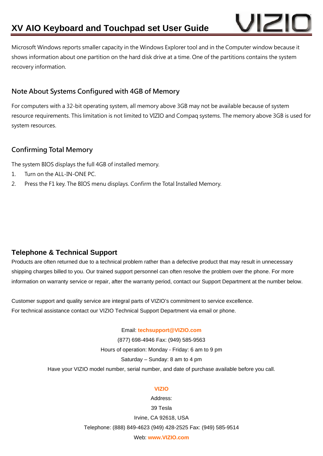

Microsoft Windows reports smaller capacity in the Windows Explorer tool and in the Computer window because it shows information about one partition on the hard disk drive at a time. One of the partitions contains the system recovery information.

#### **Note About Systems Configured with 4GB of Memory**

For computers with a 32-bit operating system, all memory above 3GB may not be available because of system resource requirements. This limitation is not limited to VIZIO and Compaq systems. The memory above 3GB is used for system resources.

#### **Confirming Total Memory**

The system BIOS displays the full 4GB of installed memory.

- 1. Turn on the ALL-IN-ONE PC.
- 2. Press the F1 key. The BIOS menu displays. Confirm the Total Installed Memory.

#### **Telephone & Technical Support**

Products are often returned due to a technical problem rather than a defective product that may result in unnecessary shipping charges billed to you. Our trained support personnel can often resolve the problem over the phone. For more information on warranty service or repair, after the warranty period, contact our Support Department at the number below.

Customer support and quality service are integral parts of VIZIO's commitment to service excellence. For technical assistance contact our VIZIO Technical Support Department via email or phone.

#### Email: **techsupport@VIZIO.com**

(877) 698-4946 Fax: (949) 585-9563 Hours of operation: Monday - Friday: 6 am to 9 pm Saturday – Sunday: 8 am to 4 pm Have your VIZIO model number, serial number, and date of purchase available before you call.

#### **VIZIO**

Address: 39 Tesla Irvine, CA 92618, USA Telephone: (888) 849-4623 (949) 428-2525 Fax: (949) 585-9514 Web: **www.VIZIO.com**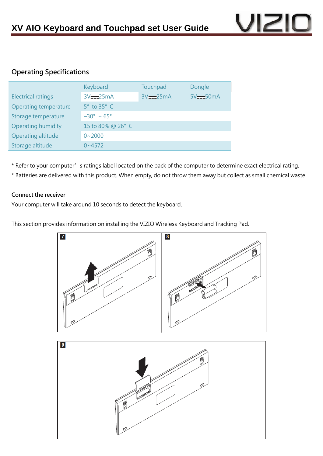

#### **Operating Specifications**

|                              | Keyboard                      | Touchpad    | Dongle         |
|------------------------------|-------------------------------|-------------|----------------|
| <b>Electrical ratings</b>    | $3V$ $=$ $25mA$               | $3V = 25mA$ | $5V$ == $50mA$ |
| <b>Operating temperature</b> | $5^\circ$ to $35^\circ$ C     |             |                |
| Storage temperature          | $-30^{\circ} \sim 65^{\circ}$ |             |                |
| <b>Operating humidity</b>    | 15 to 80% @ 26° C             |             |                |
| Operating altitude           | $0 - 2000$                    |             |                |
| Storage altitude             | $0 \sim 4572$                 |             |                |

\* Refer to your computer' s ratings label located on the back of the computer to determine exact electrical rating.

\* Batteries are delivered with this product. When empty, do not throw them away but collect as small chemical waste.

#### **Connect the receiver**

Your computer will take around 10 seconds to detect the keyboard.

This section provides information on installing the VIZIO Wireless Keyboard and Tracking Pad.

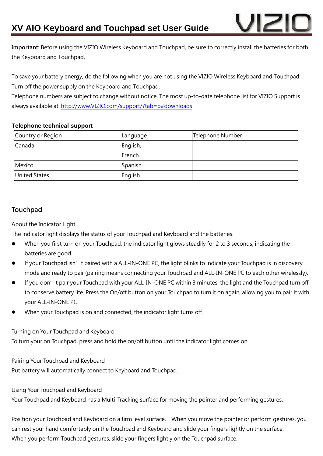

**Important:** Before using the VIZIO Wireless Keyboard and Touchpad, be sure to correctly install the batteries for both the Keyboard and Touchpad.

To save your battery energy, do the following when you are not using the VIZIO Wireless Keyboard and Touchpad: Turn off the power supply on the Keyboard and Touchpad.

Telephone numbers are subject to change without notice. The most up-to-date telephone list for VIZIO Support is always available at: http://www.VIZIO.com/support/?tab=b#downloads

#### **Telephone technical support**

| Country or Region    | Language | Telephone Number |
|----------------------|----------|------------------|
| Canada               | English, |                  |
|                      | French   |                  |
| Mexico               | Spanish  |                  |
| <b>United States</b> | English  |                  |

#### **Touchpad**

About the Indicator Light

The indicator light displays the status of your Touchpad and Keyboard and the batteries.

- When you first turn on your Touchpad, the indicator light glows steadily for 2 to 3 seconds, indicating the batteries are good.
- If your Touchpad isn't paired with a ALL-IN-ONE PC, the light blinks to indicate your Touchpad is in discovery mode and ready to pair (pairing means connecting your Touchpad and ALL-IN-ONE PC to each other wirelessly).
- If you don't pair your Touchpad with your ALL-IN-ONE PC within 3 minutes, the light and the Touchpad turn off to conserve battery life. Press the On/off button on your Touchpad to turn it on again, allowing you to pair it with your ALL-IN-ONE PC.
- When your Touchpad is on and connected, the indicator light turns off.

Turning on Your Touchpad and Keyboard

To turn your on Touchpad, press and hold the on/off button until the indicator light comes on.

Pairing Your Touchpad and Keyboard

Put battery will automatically connect to Keyboard and Touchpad.

Using Your Touchpad and Keyboard

Your Touchpad and Keyboard has a Multi-Tracking surface for moving the pointer and performing gestures.

Position your Touchpad and Keyboard on a firm level surface. When you move the pointer or perform gestures, you can rest your hand comfortably on the Touchpad and Keyboard and slide your fingers lightly on the surface. When you perform Touchpad gestures, slide your fingers lightly on the Touchpad surface.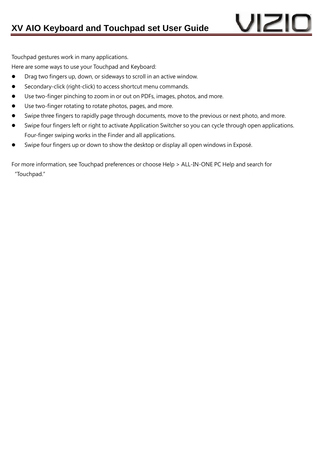Touchpad gestures work in many applications.

Here are some ways to use your Touchpad and Keyboard:

- Drag two fingers up, down, or sideways to scroll in an active window.
- **•** Secondary-click (right-click) to access shortcut menu commands.
- Use two-finger pinching to zoom in or out on PDFs, images, photos, and more.
- Use two-finger rotating to rotate photos, pages, and more.
- Swipe three fingers to rapidly page through documents, move to the previous or next photo, and more.
- Swipe four fingers left or right to activate Application Switcher so you can cycle through open applications. Four-finger swiping works in the Finder and all applications.

VIZIO

Swipe four fingers up or down to show the desktop or display all open windows in Exposé.

For more information, see Touchpad preferences or choose Help > ALL-IN-ONE PC Help and search for "Touchpad."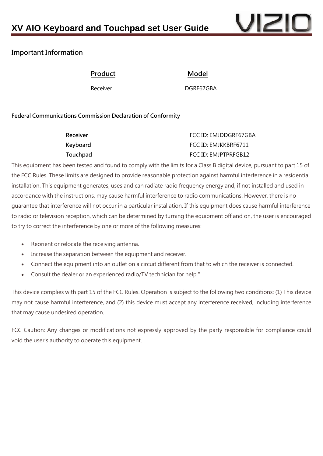

#### **Important Information**

Product Model

Receiver DGRF67GBA

#### **Federal Communications Commission Declaration of Conformity**

| Receiver | FCC ID: EMJDDGRF67GBA |
|----------|-----------------------|
| Keyboard | FCC ID: EMJKKBRF6711  |
| Touchpad | FCC ID: EMJPTPRFGB12  |

This equipment has been tested and found to comply with the limits for a Class B digital device, pursuant to part 15 of the FCC Rules. These limits are designed to provide reasonable protection against harmful interference in a residential installation. This equipment generates, uses and can radiate radio frequency energy and, if not installed and used in accordance with the instructions, may cause harmful interference to radio communications. However, there is no guarantee that interference will not occur in a particular installation. If this equipment does cause harmful interference to radio or television reception, which can be determined by turning the equipment off and on, the user is encouraged to try to correct the interference by one or more of the following measures:

- Reorient or relocate the receiving antenna.
- Increase the separation between the equipment and receiver.
- Connect the equipment into an outlet on a circuit different from that to which the receiver is connected.
- Consult the dealer or an experienced radio/TV technician for help."

This device complies with part 15 of the FCC Rules. Operation is subject to the following two conditions: (1) This device may not cause harmful interference, and (2) this device must accept any interference received, including interference that may cause undesired operation.

FCC Caution: Any changes or modifications not expressly approved by the party responsible for compliance could void the user's authority to operate this equipment.